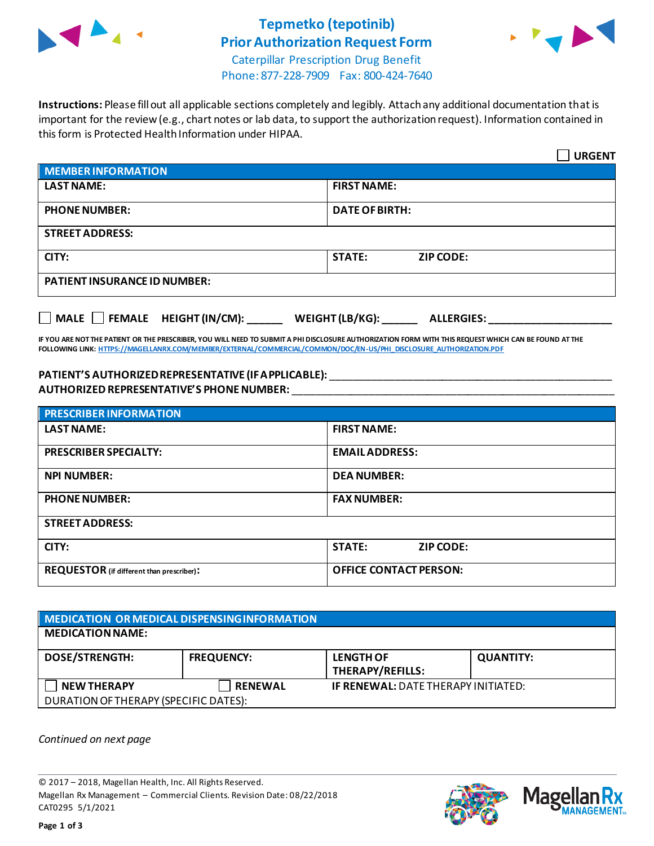

# **Tepmetko (tepotinib) Prior Authorization Request Form**



Caterpillar Prescription Drug Benefit Phone: 877-228-7909 Fax: 800-424-7640

**Instructions:** Please fill out all applicable sections completely and legibly. Attach any additional documentation that is important for the review (e.g., chart notes or lab data, to support the authorization request). Information contained in this form is Protected Health Information under HIPAA.

|                                                                                   | <b>URGENT</b>                     |  |
|-----------------------------------------------------------------------------------|-----------------------------------|--|
| <b>MEMBER INFORMATION</b>                                                         |                                   |  |
| <b>LAST NAME:</b>                                                                 | <b>FIRST NAME:</b>                |  |
| <b>PHONE NUMBER:</b>                                                              | <b>DATE OF BIRTH:</b>             |  |
| <b>STREET ADDRESS:</b>                                                            |                                   |  |
| CITY:                                                                             | <b>STATE:</b><br><b>ZIP CODE:</b> |  |
| <b>PATIENT INSURANCE ID NUMBER:</b>                                               |                                   |  |
| $\Box$ MALE $\Box$ FEMALE HEIGHT (IN/CM):<br>WEIGHT (LB/KG):<br><b>ALLERGIES:</b> |                                   |  |

**IF YOU ARE NOT THE PATIENT OR THE PRESCRIBER, YOU WILL NEED TO SUBMIT A PHI DISCLOSURE AUTHORIZATION FORM WITH THIS REQUEST WHICH CAN BE FOUND AT THE FOLLOWING LINK[: HTTPS://MAGELLANRX.COM/MEMBER/EXTERNAL/COMMERCIAL/COMMON/DOC/EN-US/PHI\\_DISCLOSURE\\_AUTHORIZATION.PDF](https://magellanrx.com/member/external/commercial/common/doc/en-us/PHI_Disclosure_Authorization.pdf)**

#### **PATIENT'S AUTHORIZED REPRESENTATIVE (IF APPLICABLE):** \_\_\_\_\_\_\_\_\_\_\_\_\_\_\_\_\_\_\_\_\_\_\_\_\_\_\_\_\_\_\_\_\_\_\_\_\_\_\_\_\_\_\_\_\_\_\_\_ **AUTHORIZED REPRESENTATIVE'S PHONE NUMBER:** \_\_\_\_\_\_\_\_\_\_\_\_\_\_\_\_\_\_\_\_\_\_\_\_\_\_\_\_\_\_\_\_\_\_\_\_\_\_\_\_\_\_\_\_\_\_\_\_\_\_\_\_\_\_\_

| <b>PRESCRIBER INFORMATION</b>             |                                   |  |  |
|-------------------------------------------|-----------------------------------|--|--|
| <b>LAST NAME:</b>                         | <b>FIRST NAME:</b>                |  |  |
| <b>PRESCRIBER SPECIALTY:</b>              | <b>EMAIL ADDRESS:</b>             |  |  |
| <b>NPI NUMBER:</b>                        | <b>DEA NUMBER:</b>                |  |  |
| <b>PHONE NUMBER:</b>                      | <b>FAX NUMBER:</b>                |  |  |
| <b>STREET ADDRESS:</b>                    |                                   |  |  |
| CITY:                                     | <b>STATE:</b><br><b>ZIP CODE:</b> |  |  |
| REQUESTOR (if different than prescriber): | <b>OFFICE CONTACT PERSON:</b>     |  |  |

### **MEDICATION OR MEDICAL DISPENSING INFORMATION MEDICATION NAME: DOSE/STRENGTH: FREQUENCY: LENGTH OF THERAPY/REFILLS: QUANTITY: NEW THERAPY RENEWAL IF RENEWAL:** DATE THERAPY INITIATED: DURATION OF THERAPY (SPECIFIC DATES):

*Continued on next page*

© 2017 – 2018, Magellan Health, Inc. All Rights Reserved. Magellan Rx Management – Commercial Clients. Revision Date: 08/22/2018 CAT0295 5/1/2021



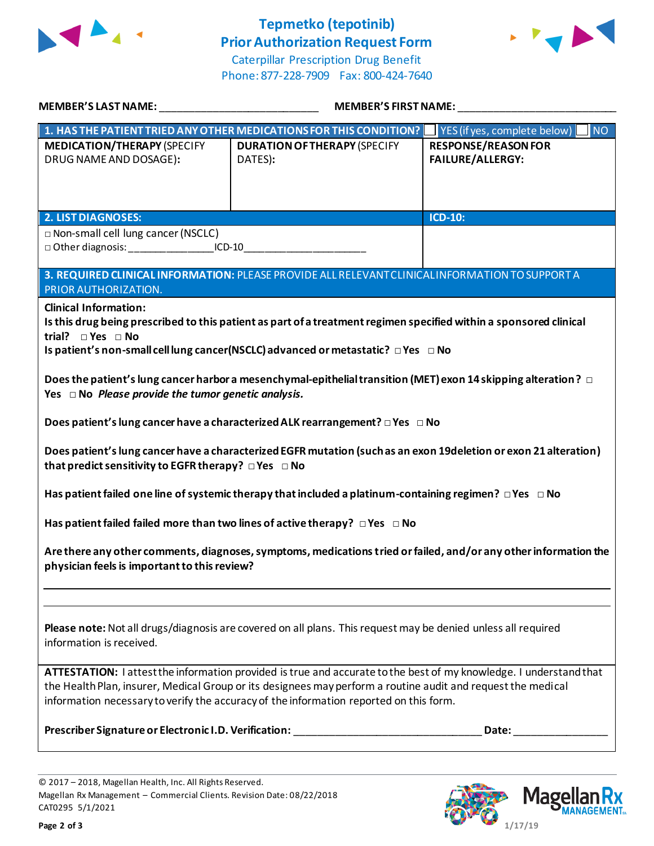

## **Tepmetko (tepotinib) Prior Authorization Request Form**





| MEMBER'S LAST NAME:                                                                                                                                                                                                                                                                                                                                                                                                                                                                                                                                                                                                                                                                                                                                                                                                                                                                                                                                                                                                                                                                                                          | <b>MEMBER'S FIRST NAME:</b>                                        |                                                       |  |
|------------------------------------------------------------------------------------------------------------------------------------------------------------------------------------------------------------------------------------------------------------------------------------------------------------------------------------------------------------------------------------------------------------------------------------------------------------------------------------------------------------------------------------------------------------------------------------------------------------------------------------------------------------------------------------------------------------------------------------------------------------------------------------------------------------------------------------------------------------------------------------------------------------------------------------------------------------------------------------------------------------------------------------------------------------------------------------------------------------------------------|--------------------------------------------------------------------|-------------------------------------------------------|--|
|                                                                                                                                                                                                                                                                                                                                                                                                                                                                                                                                                                                                                                                                                                                                                                                                                                                                                                                                                                                                                                                                                                                              | 1. HAS THE PATIENT TRIED ANY OTHER MEDICATIONS FOR THIS CONDITION? | $\blacksquare$ NO<br>YES (if yes, complete below)     |  |
| <b>MEDICATION/THERAPY (SPECIFY</b><br>DRUG NAME AND DOSAGE):                                                                                                                                                                                                                                                                                                                                                                                                                                                                                                                                                                                                                                                                                                                                                                                                                                                                                                                                                                                                                                                                 | <b>DURATION OF THERAPY (SPECIFY</b><br>DATES):                     | <b>RESPONSE/REASON FOR</b><br><b>FAILURE/ALLERGY:</b> |  |
| <b>2. LIST DIAGNOSES:</b>                                                                                                                                                                                                                                                                                                                                                                                                                                                                                                                                                                                                                                                                                                                                                                                                                                                                                                                                                                                                                                                                                                    |                                                                    | ICD-10:                                               |  |
| □ Non-small cell lung cancer (NSCLC)<br>□ Other diagnosis: ____________________ICD-10__________________________________                                                                                                                                                                                                                                                                                                                                                                                                                                                                                                                                                                                                                                                                                                                                                                                                                                                                                                                                                                                                      |                                                                    |                                                       |  |
| 3. REQUIRED CLINICAL INFORMATION: PLEASE PROVIDE ALL RELEVANT CLINICAL INFORMATION TO SUPPORT A<br>PRIOR AUTHORIZATION.                                                                                                                                                                                                                                                                                                                                                                                                                                                                                                                                                                                                                                                                                                                                                                                                                                                                                                                                                                                                      |                                                                    |                                                       |  |
| <b>Clinical Information:</b><br>Is this drug being prescribed to this patient as part of a treatment regimen specified within a sponsored clinical<br>trial? $\Box$ Yes $\Box$ No<br>Is patient's non-small cell lung cancer(NSCLC) advanced or metastatic? □ Yes □ No<br>Does the patient's lung cancer harbor a mesenchymal-epithelial transition (MET) exon 14 skipping alteration? $\Box$<br>Yes $\Box$ No Please provide the tumor genetic analysis.<br>Does patient's lung cancer have a characterized ALK rearrangement? $\Box$ Yes $\Box$ No<br>Does patient's lung cancer have a characterized EGFR mutation (such as an exon 19deletion or exon 21 alteration)<br>that predict sensitivity to EGFR therapy? $\Box$ Yes $\Box$ No<br>Has patient failed one line of systemic therapy that included a platinum-containing regimen? $\Box$ Yes $\Box$ No<br>Has patient failed failed more than two lines of active therapy? $\Box$ Yes $\Box$ No<br>Are there any other comments, diagnoses, symptoms, medications tried or failed, and/or any other information the<br>physician feels is important to this review? |                                                                    |                                                       |  |
| Please note: Not all drugs/diagnosis are covered on all plans. This request may be denied unless all required<br>information is received.                                                                                                                                                                                                                                                                                                                                                                                                                                                                                                                                                                                                                                                                                                                                                                                                                                                                                                                                                                                    |                                                                    |                                                       |  |
| ATTESTATION: I attest the information provided is true and accurate to the best of my knowledge. I understand that<br>the Health Plan, insurer, Medical Group or its designees may perform a routine audit and request the medical<br>information necessary to verify the accuracy of the information reported on this form.                                                                                                                                                                                                                                                                                                                                                                                                                                                                                                                                                                                                                                                                                                                                                                                                 |                                                                    |                                                       |  |
|                                                                                                                                                                                                                                                                                                                                                                                                                                                                                                                                                                                                                                                                                                                                                                                                                                                                                                                                                                                                                                                                                                                              |                                                                    |                                                       |  |
|                                                                                                                                                                                                                                                                                                                                                                                                                                                                                                                                                                                                                                                                                                                                                                                                                                                                                                                                                                                                                                                                                                                              |                                                                    |                                                       |  |